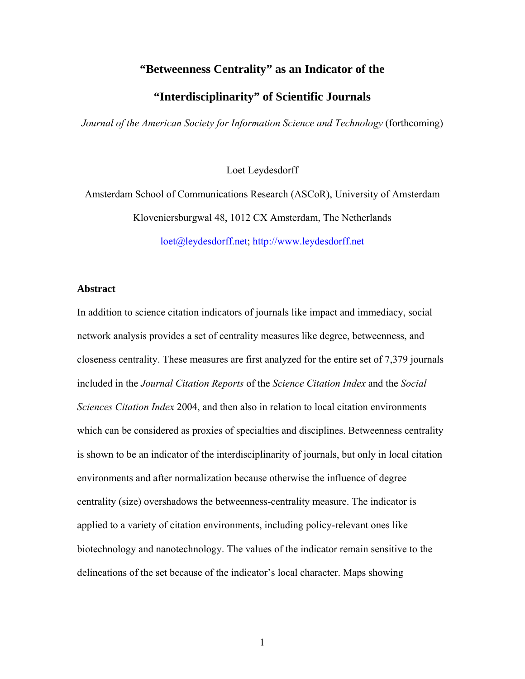# **"Betweenness Centrality" as an Indicator of the**

# **"Interdisciplinarity" of Scientific Journals**

*Journal of the American Society for Information Science and Technology* (forthcoming)

Loet Leydesdorff

Amsterdam School of Communications Research (ASCoR), University of Amsterdam Kloveniersburgwal 48, 1012 CX Amsterdam, The Netherlands

[loet@leydesdorff.net](mailto:loet@leydesdorff.net); [http://www.leydesdorff.net](http://www.leydesdorff.net/) 

## **Abstract**

In addition to science citation indicators of journals like impact and immediacy, social network analysis provides a set of centrality measures like degree, betweenness, and closeness centrality. These measures are first analyzed for the entire set of 7,379 journals included in the *Journal Citation Reports* of the *Science Citation Index* and the *Social Sciences Citation Index* 2004, and then also in relation to local citation environments which can be considered as proxies of specialties and disciplines. Betweenness centrality is shown to be an indicator of the interdisciplinarity of journals, but only in local citation environments and after normalization because otherwise the influence of degree centrality (size) overshadows the betweenness-centrality measure. The indicator is applied to a variety of citation environments, including policy-relevant ones like biotechnology and nanotechnology. The values of the indicator remain sensitive to the delineations of the set because of the indicator's local character. Maps showing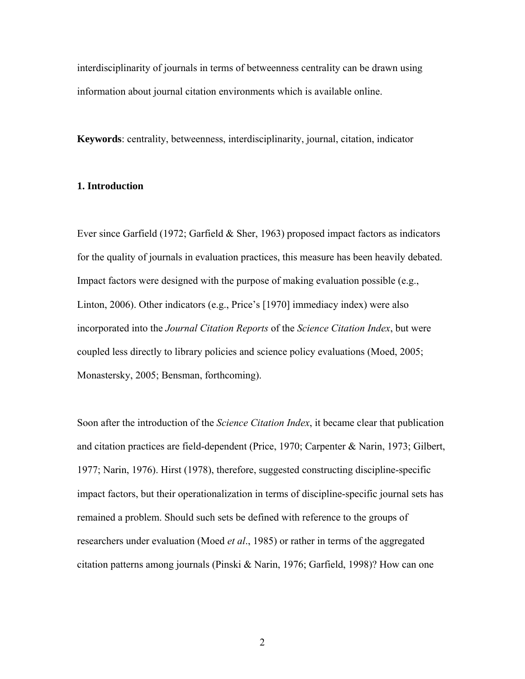interdisciplinarity of journals in terms of betweenness centrality can be drawn using information about journal citation environments which is available online.

**Keywords**: centrality, betweenness, interdisciplinarity, journal, citation, indicator

## **1. Introduction**

Ever since Garfield (1972; Garfield & Sher, 1963) proposed impact factors as indicators for the quality of journals in evaluation practices, this measure has been heavily debated. Impact factors were designed with the purpose of making evaluation possible (e.g., Linton, 2006). Other indicators (e.g., Price's [1970] immediacy index) were also incorporated into the *Journal Citation Reports* of the *Science Citation Index*, but were coupled less directly to library policies and science policy evaluations (Moed, 2005; Monastersky, 2005; Bensman, forthcoming).

Soon after the introduction of the *Science Citation Index*, it became clear that publication and citation practices are field-dependent (Price, 1970; Carpenter & Narin, 1973; Gilbert, 1977; Narin, 1976). Hirst (1978), therefore, suggested constructing discipline-specific impact factors, but their operationalization in terms of discipline-specific journal sets has remained a problem. Should such sets be defined with reference to the groups of researchers under evaluation (Moed *et al*., 1985) or rather in terms of the aggregated citation patterns among journals (Pinski & Narin, 1976; Garfield, 1998)? How can one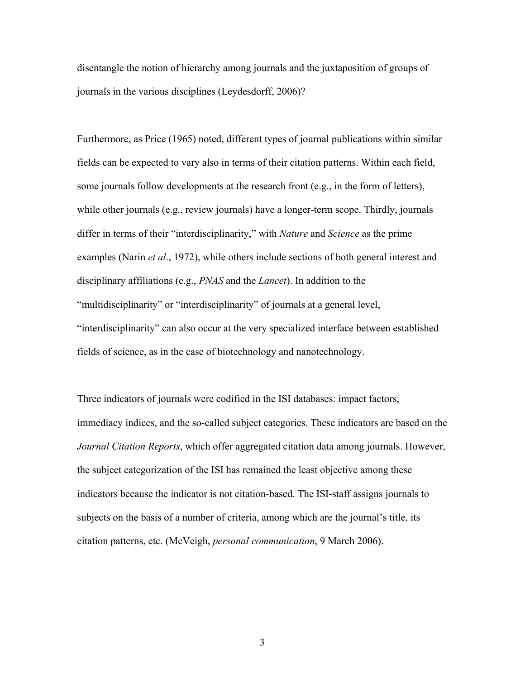disentangle the notion of hierarchy among journals and the juxtaposition of groups of journals in the various disciplines (Leydesdorff, 2006)?

Furthermore, as Price (1965) noted, different types of journal publications within similar fields can be expected to vary also in terms of their citation patterns. Within each field, some journals follow developments at the research front (e.g., in the form of letters), while other journals (e.g., review journals) have a longer-term scope. Thirdly, journals differ in terms of their "interdisciplinarity," with *Nature* and *Science* as the prime examples (Narin *et al*., 1972), while others include sections of both general interest and disciplinary affiliations (e.g., *PNAS* and the *Lancet*). In addition to the "multidisciplinarity" or "interdisciplinarity" of journals at a general level, "interdisciplinarity" can also occur at the very specialized interface between established fields of science, as in the case of biotechnology and nanotechnology.

Three indicators of journals were codified in the ISI databases: impact factors, immediacy indices, and the so-called subject categories. These indicators are based on the *Journal Citation Reports*, which offer aggregated citation data among journals. However, the subject categorization of the ISI has remained the least objective among these indicators because the indicator is not citation-based. The ISI-staff assigns journals to subjects on the basis of a number of criteria, among which are the journal's title, its citation patterns, etc. (McVeigh, *personal communication*, 9 March 2006).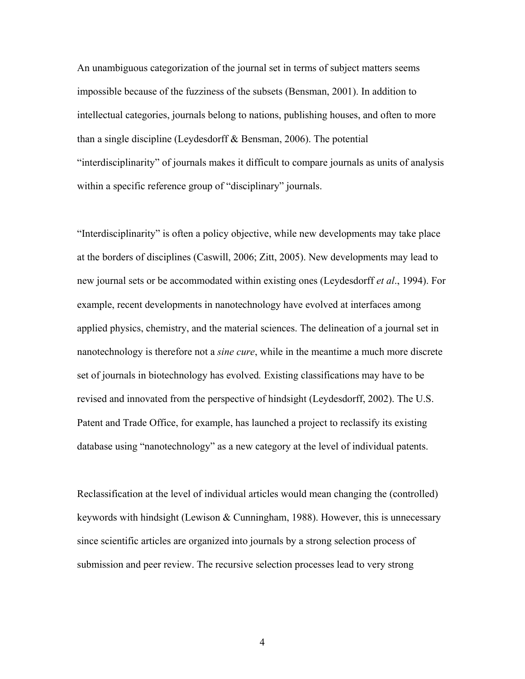An unambiguous categorization of the journal set in terms of subject matters seems impossible because of the fuzziness of the subsets (Bensman, 2001). In addition to intellectual categories, journals belong to nations, publishing houses, and often to more than a single discipline (Leydesdorff & Bensman, 2006). The potential "interdisciplinarity" of journals makes it difficult to compare journals as units of analysis within a specific reference group of "disciplinary" journals.

"Interdisciplinarity" is often a policy objective, while new developments may take place at the borders of disciplines (Caswill, 2006; Zitt, 2005). New developments may lead to new journal sets or be accommodated within existing ones (Leydesdorff *et al*., 1994). For example, recent developments in nanotechnology have evolved at interfaces among applied physics, chemistry, and the material sciences. The delineation of a journal set in nanotechnology is therefore not a *sine cure*, while in the meantime a much more discrete set of journals in biotechnology has evolved*.* Existing classifications may have to be revised and innovated from the perspective of hindsight (Leydesdorff, 2002). The U.S. Patent and Trade Office, for example, has launched a project to reclassify its existing database using "nanotechnology" as a new category at the level of individual patents.

Reclassification at the level of individual articles would mean changing the (controlled) keywords with hindsight (Lewison & Cunningham, 1988). However, this is unnecessary since scientific articles are organized into journals by a strong selection process of submission and peer review. The recursive selection processes lead to very strong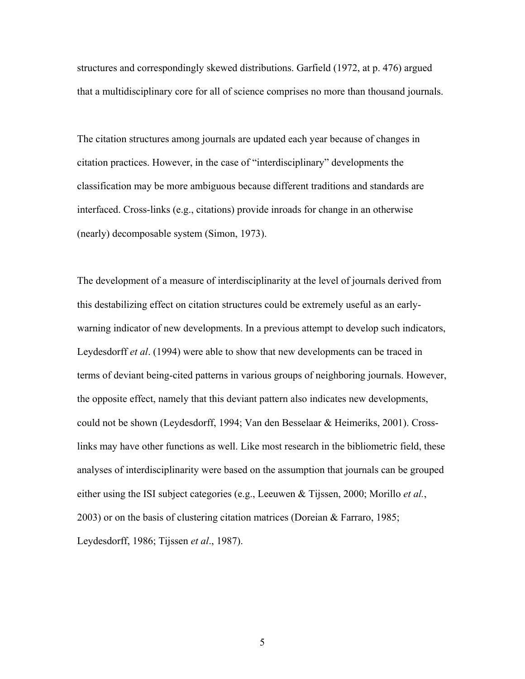structures and correspondingly skewed distributions. Garfield (1972, at p. 476) argued that a multidisciplinary core for all of science comprises no more than thousand journals.

The citation structures among journals are updated each year because of changes in citation practices. However, in the case of "interdisciplinary" developments the classification may be more ambiguous because different traditions and standards are interfaced. Cross-links (e.g., citations) provide inroads for change in an otherwise (nearly) decomposable system (Simon, 1973).

The development of a measure of interdisciplinarity at the level of journals derived from this destabilizing effect on citation structures could be extremely useful as an earlywarning indicator of new developments. In a previous attempt to develop such indicators, Leydesdorff *et al*. (1994) were able to show that new developments can be traced in terms of deviant being-cited patterns in various groups of neighboring journals. However, the opposite effect, namely that this deviant pattern also indicates new developments, could not be shown (Leydesdorff, 1994; Van den Besselaar & Heimeriks, 2001). Crosslinks may have other functions as well. Like most research in the bibliometric field, these analyses of interdisciplinarity were based on the assumption that journals can be grouped either using the ISI subject categories (e.g., Leeuwen & Tijssen, 2000; Morillo *et al.*, 2003) or on the basis of clustering citation matrices (Doreian & Farraro, 1985; Leydesdorff, 1986; Tijssen *et al*., 1987).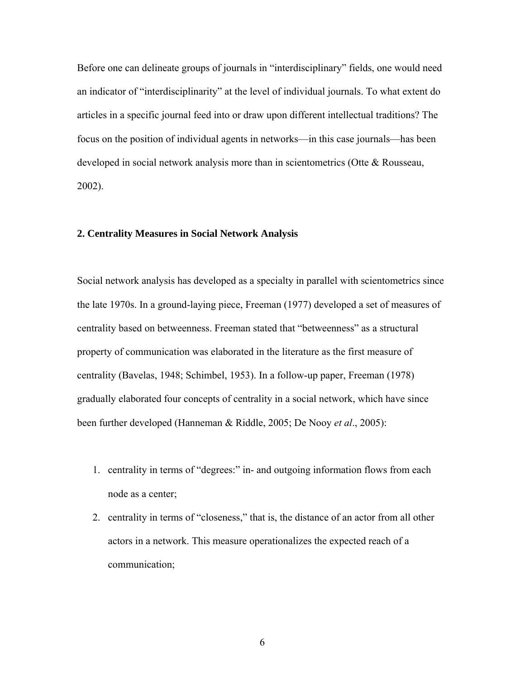Before one can delineate groups of journals in "interdisciplinary" fields, one would need an indicator of "interdisciplinarity" at the level of individual journals. To what extent do articles in a specific journal feed into or draw upon different intellectual traditions? The focus on the position of individual agents in networks—in this case journals—has been developed in social network analysis more than in scientometrics (Otte & Rousseau, 2002).

## **2. Centrality Measures in Social Network Analysis**

Social network analysis has developed as a specialty in parallel with scientometrics since the late 1970s. In a ground-laying piece, Freeman (1977) developed a set of measures of centrality based on betweenness. Freeman stated that "betweenness" as a structural property of communication was elaborated in the literature as the first measure of centrality (Bavelas, 1948; Schimbel, 1953). In a follow-up paper, Freeman (1978) gradually elaborated four concepts of centrality in a social network, which have since been further developed (Hanneman & Riddle, 2005; De Nooy *et al*., 2005):

- 1. centrality in terms of "degrees:" in- and outgoing information flows from each node as a center;
- 2. centrality in terms of "closeness," that is, the distance of an actor from all other actors in a network. This measure operationalizes the expected reach of a communication;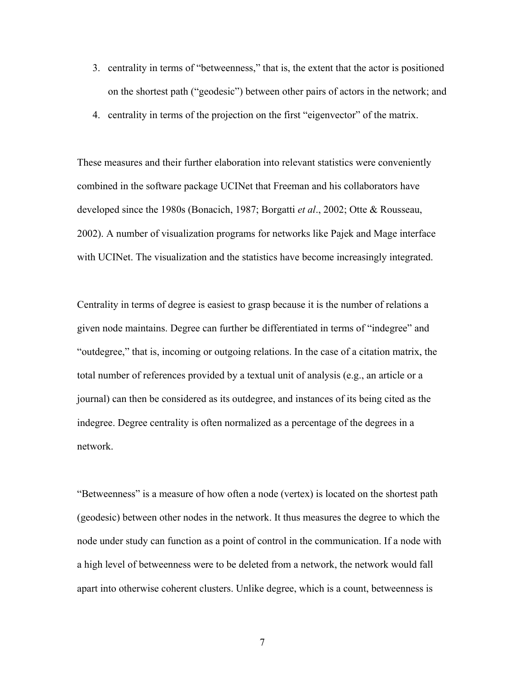- 3. centrality in terms of "betweenness," that is, the extent that the actor is positioned on the shortest path ("geodesic") between other pairs of actors in the network; and
- 4. centrality in terms of the projection on the first "eigenvector" of the matrix.

These measures and their further elaboration into relevant statistics were conveniently combined in the software package UCINet that Freeman and his collaborators have developed since the 1980s (Bonacich, 1987; Borgatti *et al*., 2002; Otte & Rousseau, 2002). A number of visualization programs for networks like Pajek and Mage interface with UCINet. The visualization and the statistics have become increasingly integrated.

Centrality in terms of degree is easiest to grasp because it is the number of relations a given node maintains. Degree can further be differentiated in terms of "indegree" and "outdegree," that is, incoming or outgoing relations. In the case of a citation matrix, the total number of references provided by a textual unit of analysis (e.g., an article or a journal) can then be considered as its outdegree, and instances of its being cited as the indegree. Degree centrality is often normalized as a percentage of the degrees in a network.

"Betweenness" is a measure of how often a node (vertex) is located on the shortest path (geodesic) between other nodes in the network. It thus measures the degree to which the node under study can function as a point of control in the communication. If a node with a high level of betweenness were to be deleted from a network, the network would fall apart into otherwise coherent clusters. Unlike degree, which is a count, betweenness is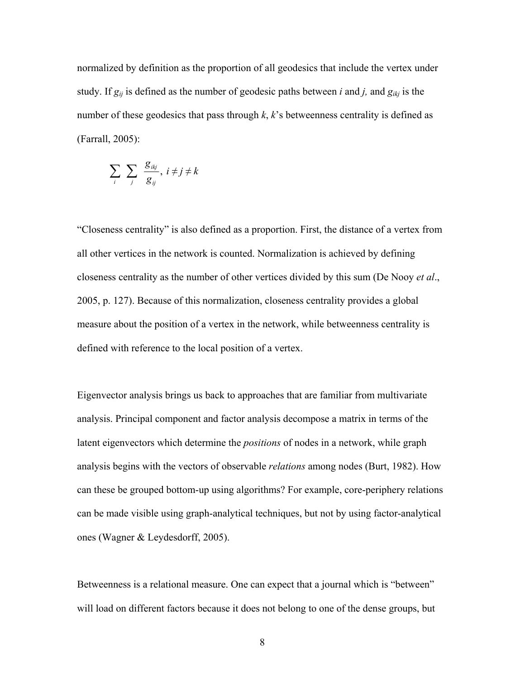normalized by definition as the proportion of all geodesics that include the vertex under study. If *gij* is defined as the number of geodesic paths between *i* and *j,* and *gikj* is the number of these geodesics that pass through *k*, *k*'s betweenness centrality is defined as (Farrall, 2005):

$$
\sum_{i}\sum_{j}\frac{g_{ikj}}{g_{ij}},\ i\neq j\neq k
$$

"Closeness centrality" is also defined as a proportion. First, the distance of a vertex from all other vertices in the network is counted. Normalization is achieved by defining closeness centrality as the number of other vertices divided by this sum (De Nooy *et al*., 2005, p. 127). Because of this normalization, closeness centrality provides a global measure about the position of a vertex in the network, while betweenness centrality is defined with reference to the local position of a vertex.

Eigenvector analysis brings us back to approaches that are familiar from multivariate analysis. Principal component and factor analysis decompose a matrix in terms of the latent eigenvectors which determine the *positions* of nodes in a network, while graph analysis begins with the vectors of observable *relations* among nodes (Burt, 1982). How can these be grouped bottom-up using algorithms? For example, core-periphery relations can be made visible using graph-analytical techniques, but not by using factor-analytical ones (Wagner & Leydesdorff, 2005).

Betweenness is a relational measure. One can expect that a journal which is "between" will load on different factors because it does not belong to one of the dense groups, but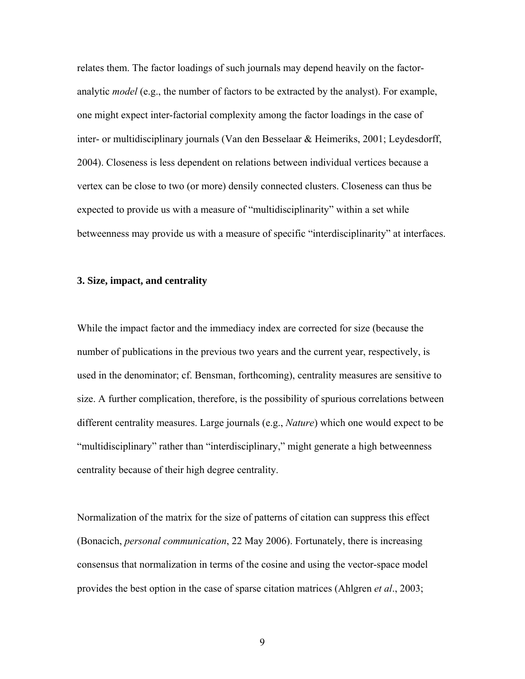relates them. The factor loadings of such journals may depend heavily on the factoranalytic *model* (e.g., the number of factors to be extracted by the analyst). For example, one might expect inter-factorial complexity among the factor loadings in the case of inter- or multidisciplinary journals (Van den Besselaar & Heimeriks, 2001; Leydesdorff, 2004). Closeness is less dependent on relations between individual vertices because a vertex can be close to two (or more) densily connected clusters. Closeness can thus be expected to provide us with a measure of "multidisciplinarity" within a set while betweenness may provide us with a measure of specific "interdisciplinarity" at interfaces.

## **3. Size, impact, and centrality**

While the impact factor and the immediacy index are corrected for size (because the number of publications in the previous two years and the current year, respectively, is used in the denominator; cf. Bensman, forthcoming), centrality measures are sensitive to size. A further complication, therefore, is the possibility of spurious correlations between different centrality measures. Large journals (e.g., *Nature*) which one would expect to be "multidisciplinary" rather than "interdisciplinary," might generate a high betweenness centrality because of their high degree centrality.

Normalization of the matrix for the size of patterns of citation can suppress this effect (Bonacich, *personal communication*, 22 May 2006). Fortunately, there is increasing consensus that normalization in terms of the cosine and using the vector-space model provides the best option in the case of sparse citation matrices (Ahlgren *et al*., 2003;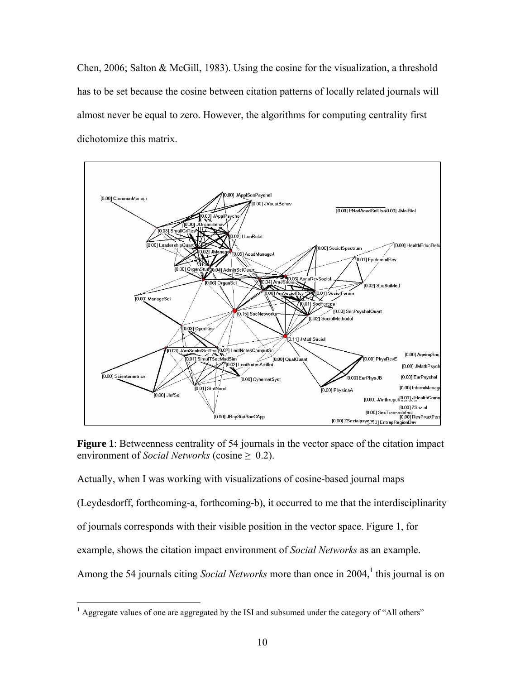Chen, 2006; Salton & McGill, 1983). Using the cosine for the visualization, a threshold has to be set because the cosine between citation patterns of locally related journals will almost never be equal to zero. However, the algorithms for computing centrality first dichotomize this matrix.



**Figure 1**: Betweenness centrality of 54 journals in the vector space of the citation impact environment of *Social Networks* (cosine  $\geq$  0.2).

Actually, when I was working with visualizations of cosine-based journal maps (Leydesdorff, forthcoming-a, forthcoming-b), it occurred to me that the interdisciplinarity of journals corresponds with their visible position in the vector space. Figure 1, for example, shows the citation impact environment of *Social Networks* as an example. Among the 54 journals citing *Social Networks* more than once in 2004,<sup>1</sup> this journal is on

 $\overline{a}$ 

<span id="page-9-0"></span> $<sup>1</sup>$  Aggregate values of one are aggregated by the ISI and subsumed under the category of "All others"</sup>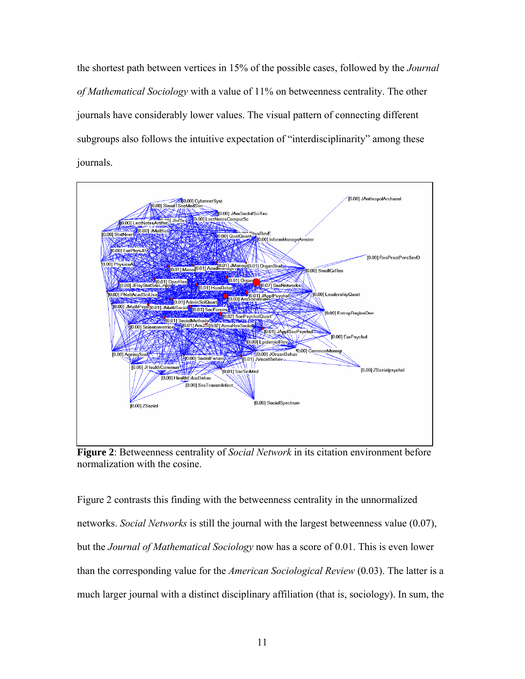the shortest path between vertices in 15% of the possible cases, followed by the *Journal of Mathematical Sociology* with a value of 11% on betweenness centrality. The other journals have considerably lower values. The visual pattern of connecting different subgroups also follows the intuitive expectation of "interdisciplinarity" among these journals.



**Figure 2**: Betweenness centrality of *Social Network* in its citation environment before normalization with the cosine.

Figure 2 contrasts this finding with the betweenness centrality in the unnormalized networks. *Social Networks* is still the journal with the largest betweenness value (0.07), but the *Journal of Mathematical Sociology* now has a score of 0.01. This is even lower than the corresponding value for the *American Sociological Review* (0.03). The latter is a much larger journal with a distinct disciplinary affiliation (that is, sociology). In sum, the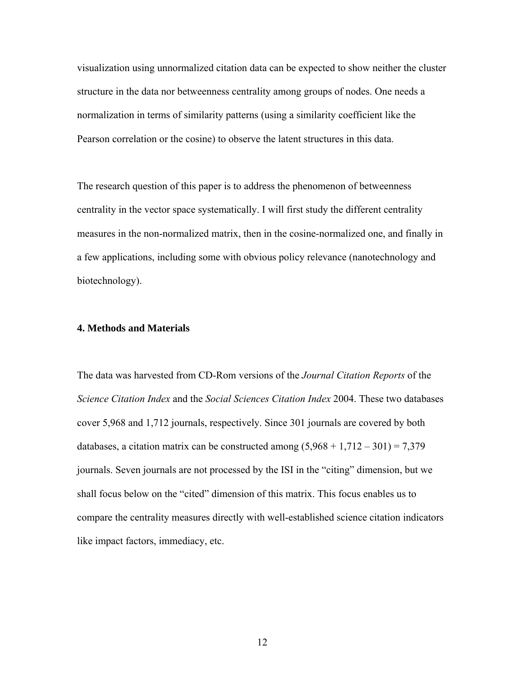visualization using unnormalized citation data can be expected to show neither the cluster structure in the data nor betweenness centrality among groups of nodes. One needs a normalization in terms of similarity patterns (using a similarity coefficient like the Pearson correlation or the cosine) to observe the latent structures in this data.

The research question of this paper is to address the phenomenon of betweenness centrality in the vector space systematically. I will first study the different centrality measures in the non-normalized matrix, then in the cosine-normalized one, and finally in a few applications, including some with obvious policy relevance (nanotechnology and biotechnology).

### **4. Methods and Materials**

The data was harvested from CD-Rom versions of the *Journal Citation Reports* of the *Science Citation Index* and the *Social Sciences Citation Index* 2004. These two databases cover 5,968 and 1,712 journals, respectively. Since 301 journals are covered by both databases, a citation matrix can be constructed among  $(5,968 + 1,712 - 301) = 7,379$ journals. Seven journals are not processed by the ISI in the "citing" dimension, but we shall focus below on the "cited" dimension of this matrix. This focus enables us to compare the centrality measures directly with well-established science citation indicators like impact factors, immediacy, etc.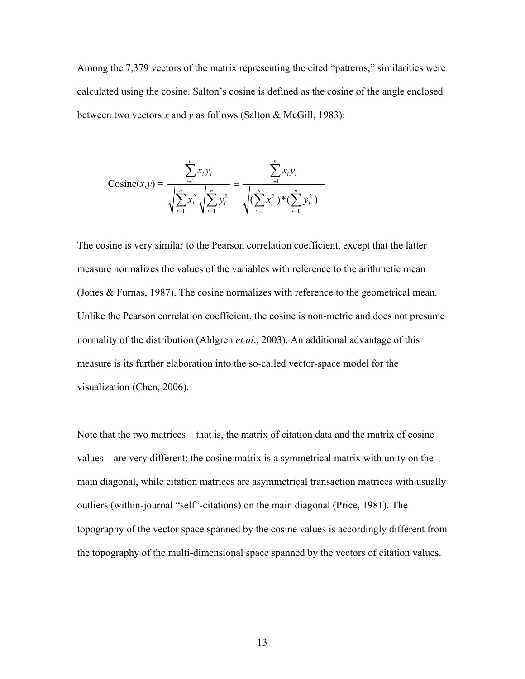Among the 7,379 vectors of the matrix representing the cited "patterns," similarities were calculated using the cosine. Salton's cosine is defined as the cosine of the angle enclosed between two vectors *x* and *y* as follows (Salton & McGill, 1983):

$$
\text{Cosine}(x, y) = \frac{\sum_{i=1}^{n} x_i y_i}{\sqrt{\sum_{i=1}^{n} x_i^2} \sqrt{\sum_{i=1}^{n} y_i^2}} = \frac{\sum_{i=1}^{n} x_i y_i}{\sqrt{(\sum_{i=1}^{n} x_i^2)^* (\sum_{i=1}^{n} y_i^2)}}
$$

The cosine is very similar to the Pearson correlation coefficient, except that the latter measure normalizes the values of the variables with reference to the arithmetic mean (Jones & Furnas, 1987). The cosine normalizes with reference to the geometrical mean. Unlike the Pearson correlation coefficient, the cosine is non-metric and does not presume normality of the distribution (Ahlgren *et al*., 2003). An additional advantage of this measure is its further elaboration into the so-called vector-space model for the visualization (Chen, 2006).

Note that the two matrices—that is, the matrix of citation data and the matrix of cosine values—are very different: the cosine matrix is a symmetrical matrix with unity on the main diagonal, while citation matrices are asymmetrical transaction matrices with usually outliers (within-journal "self"-citations) on the main diagonal (Price, 1981). The topography of the vector space spanned by the cosine values is accordingly different from the topography of the multi-dimensional space spanned by the vectors of citation values.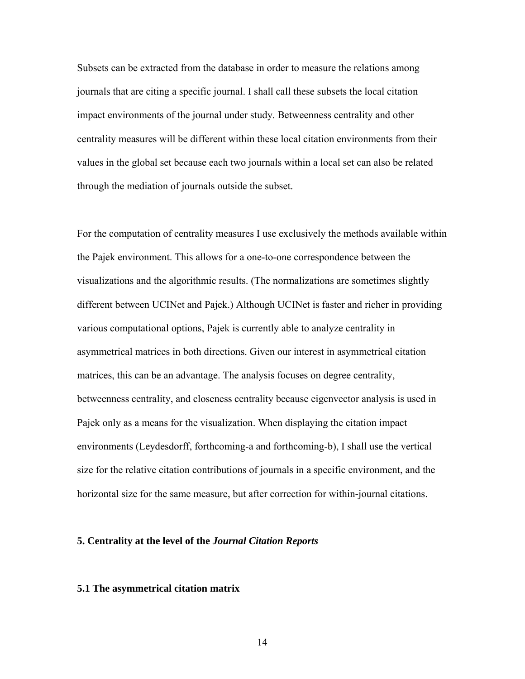Subsets can be extracted from the database in order to measure the relations among journals that are citing a specific journal. I shall call these subsets the local citation impact environments of the journal under study. Betweenness centrality and other centrality measures will be different within these local citation environments from their values in the global set because each two journals within a local set can also be related through the mediation of journals outside the subset.

For the computation of centrality measures I use exclusively the methods available within the Pajek environment. This allows for a one-to-one correspondence between the visualizations and the algorithmic results. (The normalizations are sometimes slightly different between UCINet and Pajek.) Although UCINet is faster and richer in providing various computational options, Pajek is currently able to analyze centrality in asymmetrical matrices in both directions. Given our interest in asymmetrical citation matrices, this can be an advantage. The analysis focuses on degree centrality, betweenness centrality, and closeness centrality because eigenvector analysis is used in Pajek only as a means for the visualization. When displaying the citation impact environments (Leydesdorff, forthcoming-a and forthcoming-b), I shall use the vertical size for the relative citation contributions of journals in a specific environment, and the horizontal size for the same measure, but after correction for within-journal citations.

#### **5. Centrality at the level of the** *Journal Citation Reports*

#### **5.1 The asymmetrical citation matrix**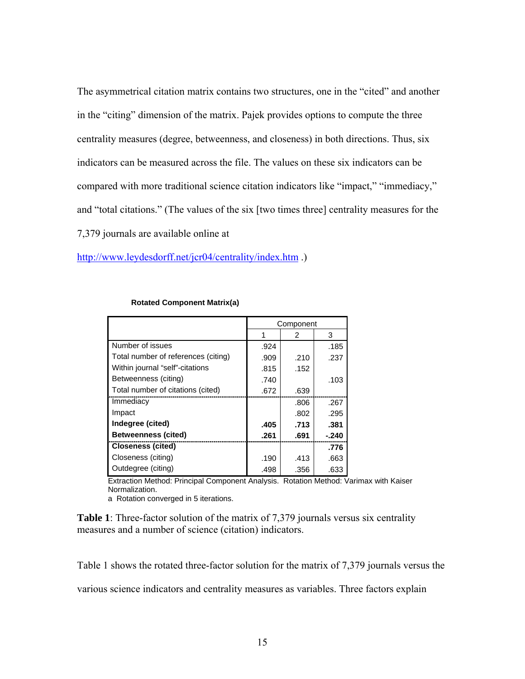The asymmetrical citation matrix contains two structures, one in the "cited" and another in the "citing" dimension of the matrix. Pajek provides options to compute the three centrality measures (degree, betweenness, and closeness) in both directions. Thus, six indicators can be measured across the file. The values on these six indicators can be compared with more traditional science citation indicators like "impact," "immediacy," and "total citations." (The values of the six [two times three] centrality measures for the 7,379 journals are available online at

<http://www.leydesdorff.net/jcr04/centrality/index.htm> .)

|                                     | Component |      |       |  |
|-------------------------------------|-----------|------|-------|--|
|                                     |           | 2    | 3     |  |
| Number of issues                    | .924      |      | .185  |  |
| Total number of references (citing) | .909      | .210 | .237  |  |
| Within journal "self"-citations     | .815      | .152 |       |  |
| Betweenness (citing)                | .740      |      | .103  |  |
| Total number of citations (cited)   | .672      | .639 |       |  |
| Immediacy                           |           | .806 | .267  |  |
| Impact                              |           | .802 | .295  |  |
| Indegree (cited)                    | .405      | .713 | .381  |  |
| <b>Betweenness (cited)</b>          | .261      | .691 | -.240 |  |
| <b>Closeness (cited)</b>            |           |      | .776  |  |
| Closeness (citing)                  | .190      | .413 | .663  |  |
| Outdegree (citing)                  | .498      | .356 | .633  |  |

#### **Rotated Component Matrix(a)**

Extraction Method: Principal Component Analysis. Rotation Method: Varimax with Kaiser Normalization.

a Rotation converged in 5 iterations.

**Table 1**: Three-factor solution of the matrix of 7,379 journals versus six centrality measures and a number of science (citation) indicators.

Table 1 shows the rotated three-factor solution for the matrix of 7,379 journals versus the

various science indicators and centrality measures as variables. Three factors explain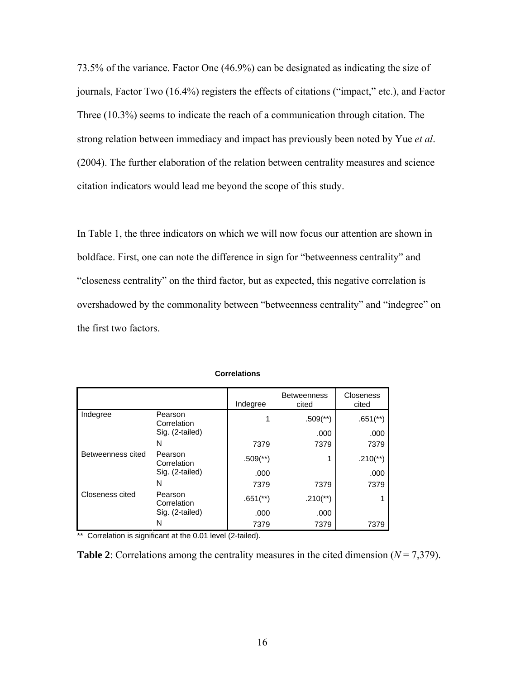73.5% of the variance. Factor One (46.9%) can be designated as indicating the size of journals, Factor Two (16.4%) registers the effects of citations ("impact," etc.), and Factor Three (10.3%) seems to indicate the reach of a communication through citation. The strong relation between immediacy and impact has previously been noted by Yue *et al*. (2004). The further elaboration of the relation between centrality measures and science citation indicators would lead me beyond the scope of this study.

In Table 1, the three indicators on which we will now focus our attention are shown in boldface. First, one can note the difference in sign for "betweenness centrality" and "closeness centrality" on the third factor, but as expected, this negative correlation is overshadowed by the commonality between "betweenness centrality" and "indegree" on the first two factors.

|                   |                        | Indegree                 | <b>Betweenness</b><br>cited | <b>Closeness</b><br>cited |
|-------------------|------------------------|--------------------------|-----------------------------|---------------------------|
| Indegree          | Pearson<br>Correlation |                          | $.509$ <sup>(**)</sup>      | $.651$ <sup>(**)</sup> )  |
|                   | Sig. (2-tailed)        |                          | .000                        | .000                      |
|                   | N                      | 7379                     | 7379                        | 7379                      |
| Betweenness cited | Pearson<br>Correlation | $.509$ <sup>(**)</sup> ) | 1                           | $.210$ <sup>**</sup> )    |
|                   | Sig. (2-tailed)        | .000                     |                             | .000                      |
|                   | N                      | 7379                     | 7379                        | 7379                      |
| Closeness cited   | Pearson<br>Correlation | $.651$ <sup>**</sup> )   | $.210$ <sup>**</sup> )      |                           |
|                   | Sig. (2-tailed)        | .000                     | .000                        |                           |
|                   | N                      | 7379                     | 7379                        | 7379                      |

 **Correlations** 

\*\* Correlation is significant at the 0.01 level (2-tailed).

**Table 2**: Correlations among the centrality measures in the cited dimension ( $N = 7,379$ ).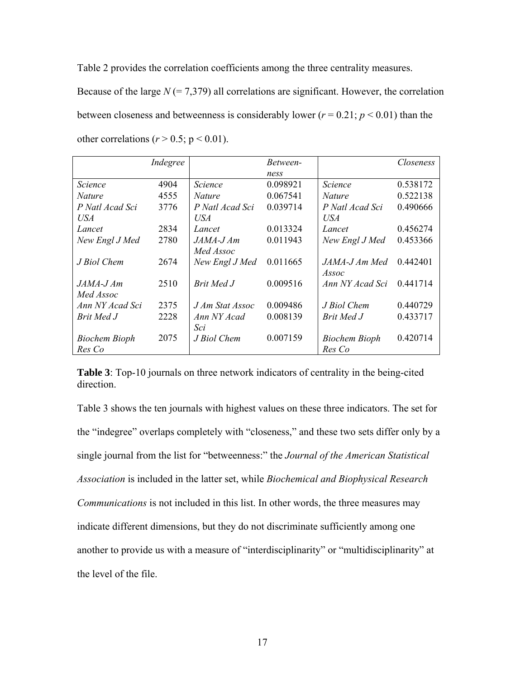Table 2 provides the correlation coefficients among the three centrality measures.

Because of the large  $N = 7,379$ ) all correlations are significant. However, the correlation between closeness and betweenness is considerably lower ( $r = 0.21$ ;  $p < 0.01$ ) than the other correlations ( $r > 0.5$ ; p < 0.01).

|                      | Indegree |                 | Between- |                      | Closeness |
|----------------------|----------|-----------------|----------|----------------------|-----------|
|                      |          |                 | ness     |                      |           |
| Science              | 4904     | <i>Science</i>  | 0.098921 | <b>Science</b>       | 0.538172  |
| <i>Nature</i>        | 4555     | <i>Nature</i>   | 0.067541 | <i>Nature</i>        | 0.522138  |
| P Natl Acad Sci      | 3776     | P Natl Acad Sci | 0.039714 | P Natl Acad Sci      | 0.490666  |
| USA                  |          | USA             |          | USA                  |           |
| Lancet               | 2834     | Lancet          | 0.013324 | Lancet               | 0.456274  |
| New Engl J Med       | 2780     | $JAMA-JAm$      | 0.011943 | New Engl J Med       | 0.453366  |
|                      |          | Med Assoc       |          |                      |           |
| J Biol Chem          | 2674     | New Engl J Med  | 0.011665 | JAMA-J Am Med        | 0.442401  |
|                      |          |                 |          | Assoc                |           |
| JAMA-J Am            | 2510     | Brit Med J      | 0.009516 | Ann NY Acad Sci      | 0.441714  |
| Med Assoc            |          |                 |          |                      |           |
| Ann NY Acad Sci      | 2375     | J Am Stat Assoc | 0.009486 | J Biol Chem          | 0.440729  |
| Brit Med J           | 2228     | Ann NY Acad     | 0.008139 | Brit Med J           | 0.433717  |
|                      |          | Sci             |          |                      |           |
| <b>Biochem Bioph</b> | 2075     | J Biol Chem     | 0.007159 | <b>Biochem Bioph</b> | 0.420714  |
| Res Co               |          |                 |          | Res Co               |           |

**Table 3**: Top-10 journals on three network indicators of centrality in the being-cited direction.

Table 3 shows the ten journals with highest values on these three indicators. The set for the "indegree" overlaps completely with "closeness," and these two sets differ only by a single journal from the list for "betweenness:" the *Journal of the American Statistical Association* is included in the latter set, while *Biochemical and Biophysical Research Communications* is not included in this list. In other words, the three measures may indicate different dimensions, but they do not discriminate sufficiently among one another to provide us with a measure of "interdisciplinarity" or "multidisciplinarity" at the level of the file.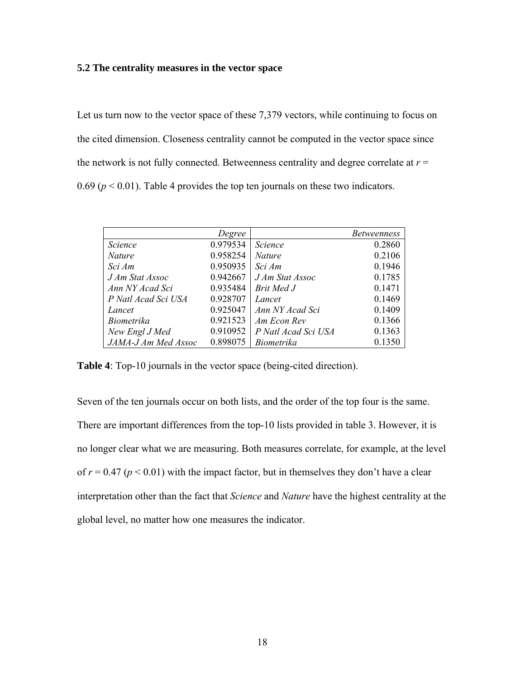## **5.2 The centrality measures in the vector space**

Let us turn now to the vector space of these 7,379 vectors, while continuing to focus on the cited dimension. Closeness centrality cannot be computed in the vector space since the network is not fully connected. Betweenness centrality and degree correlate at  $r =$ 0.69 ( $p < 0.01$ ). Table 4 provides the top ten journals on these two indicators.

|                     | Degree   |                     | <i>Betweenness</i> |
|---------------------|----------|---------------------|--------------------|
| Science             | 0.979534 | <i>Science</i>      | 0.2860             |
| <b>Nature</b>       | 0.958254 | <i>Nature</i>       | 0.2106             |
| Sci Am              | 0.950935 | Sci Am              | 0.1946             |
| J Am Stat Assoc     | 0.942667 | J Am Stat Assoc     | 0.1785             |
| Ann NY Acad Sci     | 0.935484 | Brit Med J          | 0.1471             |
| P Natl Acad Sci USA | 0.928707 | Lancet              | 0.1469             |
| Lancet              | 0.925047 | Ann NY Acad Sci     | 0.1409             |
| <b>Biometrika</b>   | 0.921523 | Am Econ Rev         | 0.1366             |
| New Engl J Med      | 0.910952 | P Natl Acad Sci USA | 0.1363             |
| JAMA-J Am Med Assoc | 0.898075 | <i>Biometrika</i>   | 0.1350             |

**Table 4**: Top-10 journals in the vector space (being-cited direction).

Seven of the ten journals occur on both lists, and the order of the top four is the same. There are important differences from the top-10 lists provided in table 3. However, it is no longer clear what we are measuring. Both measures correlate, for example, at the level of  $r = 0.47$  ( $p < 0.01$ ) with the impact factor, but in themselves they don't have a clear interpretation other than the fact that *Science* and *Nature* have the highest centrality at the global level, no matter how one measures the indicator.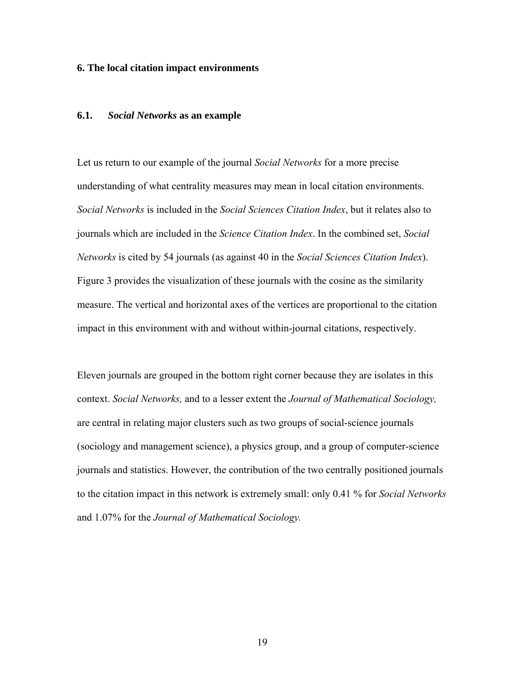#### **6. The local citation impact environments**

## **6.1.** *Social Networks* **as an example**

Let us return to our example of the journal *Social Networks* for a more precise understanding of what centrality measures may mean in local citation environments. *Social Networks* is included in the *Social Sciences Citation Index*, but it relates also to journals which are included in the *Science Citation Index*. In the combined set, *Social Networks* is cited by 54 journals (as against 40 in the *Social Sciences Citation Index*). Figure 3 provides the visualization of these journals with the cosine as the similarity measure. The vertical and horizontal axes of the vertices are proportional to the citation impact in this environment with and without within-journal citations, respectively.

Eleven journals are grouped in the bottom right corner because they are isolates in this context. *Social Networks,* and to a lesser extent the *Journal of Mathematical Sociology,* are central in relating major clusters such as two groups of social-science journals (sociology and management science), a physics group, and a group of computer-science journals and statistics. However, the contribution of the two centrally positioned journals to the citation impact in this network is extremely small: only 0.41 % for *Social Networks* and 1.07% for the *Journal of Mathematical Sociology.*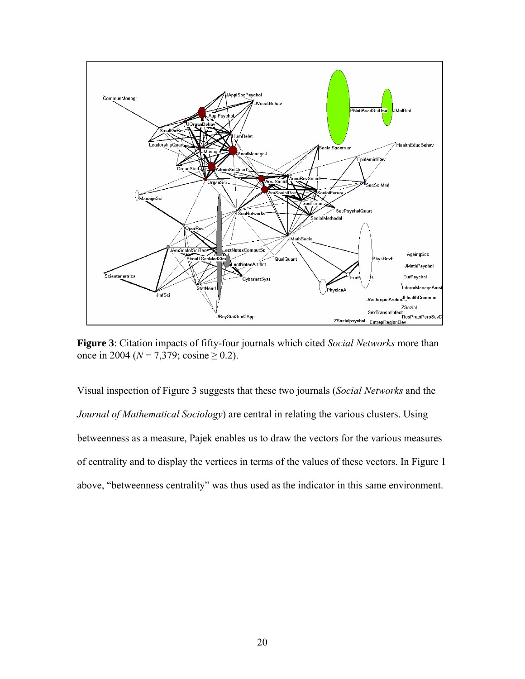

**Figure 3**: Citation impacts of fifty-four journals which cited *Social Networks* more than once in 2004 ( $N = 7,379$ ; cosine  $\geq 0.2$ ).

Visual inspection of Figure 3 suggests that these two journals (*Social Networks* and the *Journal of Mathematical Sociology*) are central in relating the various clusters. Using betweenness as a measure, Pajek enables us to draw the vectors for the various measures of centrality and to display the vertices in terms of the values of these vectors. In Figure 1 above, "betweenness centrality" was thus used as the indicator in this same environment.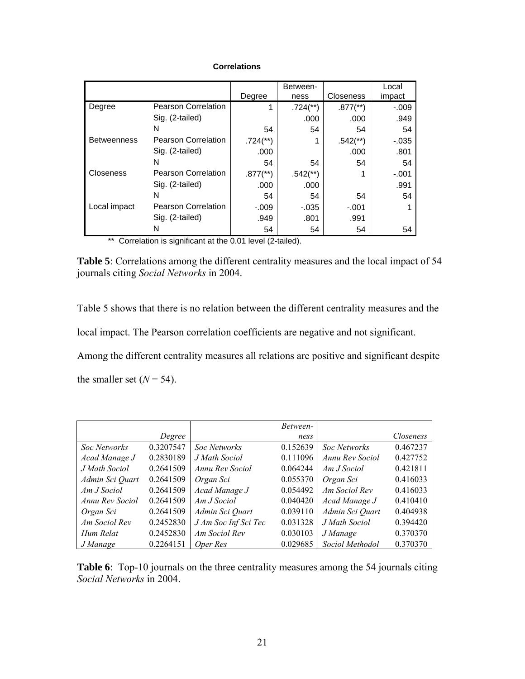## **Correlations**

|                    |                            |                          | Between-                |                          | Local    |
|--------------------|----------------------------|--------------------------|-------------------------|--------------------------|----------|
|                    |                            | Degree                   | ness                    | <b>Closeness</b>         | impact   |
| Degree             | <b>Pearson Correlation</b> |                          | $.724$ <sup>(**</sup> ) | $.877$ <sup>(**)</sup> ) | $-.009$  |
|                    | Sig. (2-tailed)            |                          | .000                    | .000                     | .949     |
|                    | N                          | 54                       | 54                      | 54                       | 54       |
| <b>Betweenness</b> | <b>Pearson Correlation</b> | $.724$ <sup>(**)</sup> ) |                         | $.542$ <sup>**</sup> )   | $-0.035$ |
|                    | Sig. (2-tailed)            | .000                     |                         | .000                     | .801     |
|                    | N                          | 54                       | 54                      | 54                       | 54       |
| Closeness          | <b>Pearson Correlation</b> | $.877$ <sup>(**)</sup> ) | $.542$ <sup>**</sup> )  |                          | $-.001$  |
|                    | Sig. (2-tailed)            | .000                     | .000                    |                          | .991     |
|                    | N                          | 54                       | 54                      | 54                       | 54       |
| Local impact       | <b>Pearson Correlation</b> | $-.009$                  | $-0.035$                | $-.001$                  |          |
|                    | Sig. (2-tailed)            | .949                     | .801                    | .991                     |          |
|                    | N                          | 54                       | 54                      | 54                       | 54       |

\*\* Correlation is significant at the 0.01 level (2-tailed).

**Table 5**: Correlations among the different centrality measures and the local impact of 54 journals citing *Social Networks* in 2004.

Table 5 shows that there is no relation between the different centrality measures and the local impact. The Pearson correlation coefficients are negative and not significant. Among the different centrality measures all relations are positive and significant despite the smaller set  $(N = 54)$ .

|                 |           |                      | Between- |                     |           |
|-----------------|-----------|----------------------|----------|---------------------|-----------|
|                 | Degree    |                      | ness     |                     | Closeness |
| Soc Networks    | 0.3207547 | <b>Soc Networks</b>  | 0.152639 | <b>Soc Networks</b> | 0.467237  |
| Acad Manage J   | 0.2830189 | J Math Sociol        | 0.111096 | Annu Rev Sociol     | 0.427752  |
| J Math Sociol   | 0.2641509 | Annu Rev Sociol      | 0.064244 | Am J Sociol         | 0.421811  |
| Admin Sci Quart | 0.2641509 | Organ Sci            | 0.055370 | Organ Sci           | 0.416033  |
| Am J Sociol     | 0.2641509 | Acad Manage J        | 0.054492 | Am Sociol Rev       | 0.416033  |
| Annu Rev Sociol | 0.2641509 | Am J Sociol          | 0.040420 | Acad Manage J       | 0.410410  |
| Organ Sci       | 0.2641509 | Admin Sci Quart      | 0.039110 | Admin Sci Quart     | 0.404938  |
| Am Sociol Rev   | 0.2452830 | J Am Soc Inf Sci Tec | 0.031328 | J Math Sociol       | 0.394420  |
| Hum Relat       | 0.2452830 | Am Sociol Rev        | 0.030103 | J Manage            | 0.370370  |
| J Manage        | 0.2264151 | Oper Res             | 0.029685 | Sociol Methodol     | 0.370370  |

**Table 6**: Top-10 journals on the three centrality measures among the 54 journals citing *Social Networks* in 2004.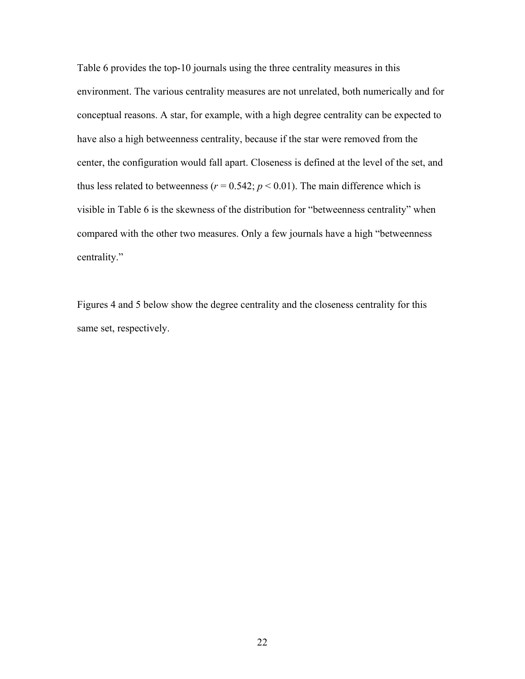Table 6 provides the top-10 journals using the three centrality measures in this environment. The various centrality measures are not unrelated, both numerically and for conceptual reasons. A star, for example, with a high degree centrality can be expected to have also a high betweenness centrality, because if the star were removed from the center, the configuration would fall apart. Closeness is defined at the level of the set, and thus less related to betweenness ( $r = 0.542$ ;  $p < 0.01$ ). The main difference which is visible in Table 6 is the skewness of the distribution for "betweenness centrality" when compared with the other two measures. Only a few journals have a high "betweenness centrality."

Figures 4 and 5 below show the degree centrality and the closeness centrality for this same set, respectively.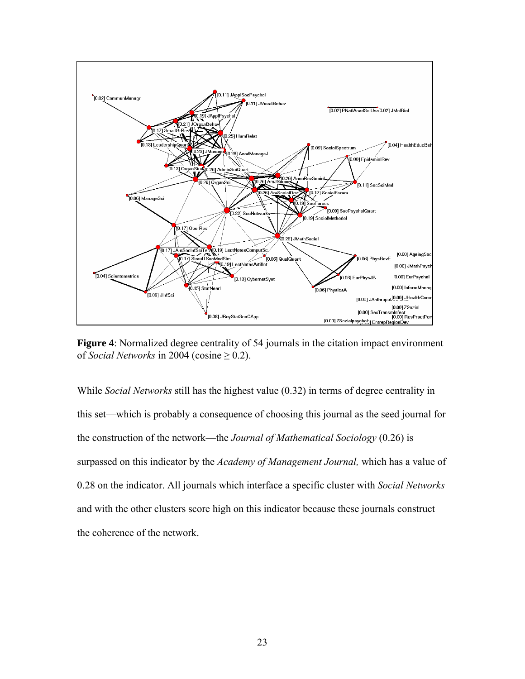

**Figure 4**: Normalized degree centrality of 54 journals in the citation impact environment of *Social Networks* in 2004 (cosine  $\geq 0.2$ ).

While *Social Networks* still has the highest value (0.32) in terms of degree centrality in this set—which is probably a consequence of choosing this journal as the seed journal for the construction of the network—the *Journal of Mathematical Sociology* (0.26) is surpassed on this indicator by the *Academy of Management Journal,* which has a value of 0.28 on the indicator. All journals which interface a specific cluster with *Social Networks* and with the other clusters score high on this indicator because these journals construct the coherence of the network.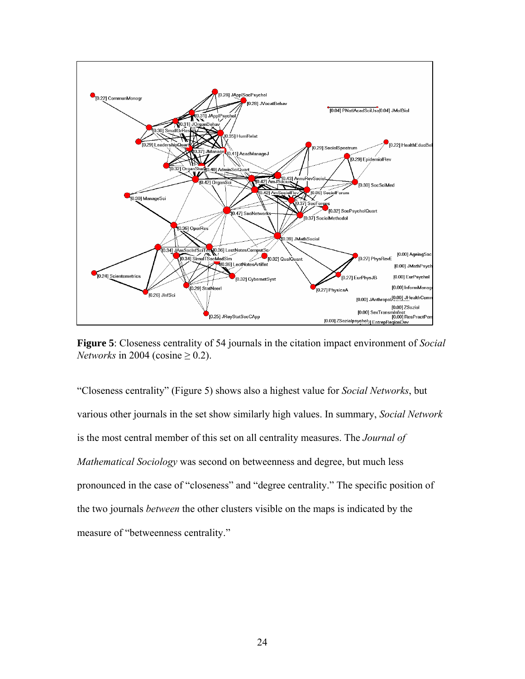

**Figure 5**: Closeness centrality of 54 journals in the citation impact environment of *Social Networks* in 2004 (cosine  $\geq$  0.2).

"Closeness centrality" (Figure 5) shows also a highest value for *Social Networks*, but various other journals in the set show similarly high values. In summary, *Social Network*  is the most central member of this set on all centrality measures. The *Journal of Mathematical Sociology* was second on betweenness and degree, but much less pronounced in the case of "closeness" and "degree centrality." The specific position of the two journals *between* the other clusters visible on the maps is indicated by the measure of "betweenness centrality."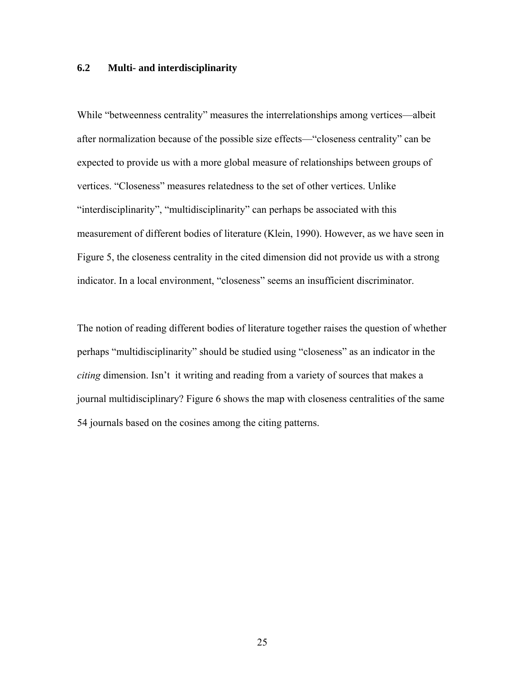## **6.2 Multi- and interdisciplinarity**

While "betweenness centrality" measures the interrelationships among vertices—albeit after normalization because of the possible size effects—"closeness centrality" can be expected to provide us with a more global measure of relationships between groups of vertices. "Closeness" measures relatedness to the set of other vertices. Unlike "interdisciplinarity", "multidisciplinarity" can perhaps be associated with this measurement of different bodies of literature (Klein, 1990). However, as we have seen in Figure 5, the closeness centrality in the cited dimension did not provide us with a strong indicator. In a local environment, "closeness" seems an insufficient discriminator.

The notion of reading different bodies of literature together raises the question of whether perhaps "multidisciplinarity" should be studied using "closeness" as an indicator in the *citing* dimension. Isn't it writing and reading from a variety of sources that makes a journal multidisciplinary? Figure 6 shows the map with closeness centralities of the same 54 journals based on the cosines among the citing patterns.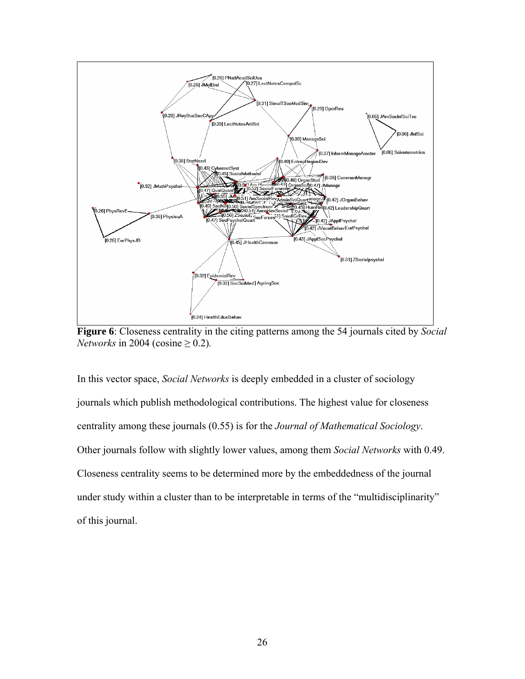

**Figure 6**: Closeness centrality in the citing patterns among the 54 journals cited by *Social Networks* in 2004 (cosine  $\geq$  0.2).

In this vector space, *Social Networks* is deeply embedded in a cluster of sociology journals which publish methodological contributions. The highest value for closeness centrality among these journals (0.55) is for the *Journal of Mathematical Sociology*. Other journals follow with slightly lower values, among them *Social Networks* with 0.49. Closeness centrality seems to be determined more by the embeddedness of the journal under study within a cluster than to be interpretable in terms of the "multidisciplinarity" of this journal.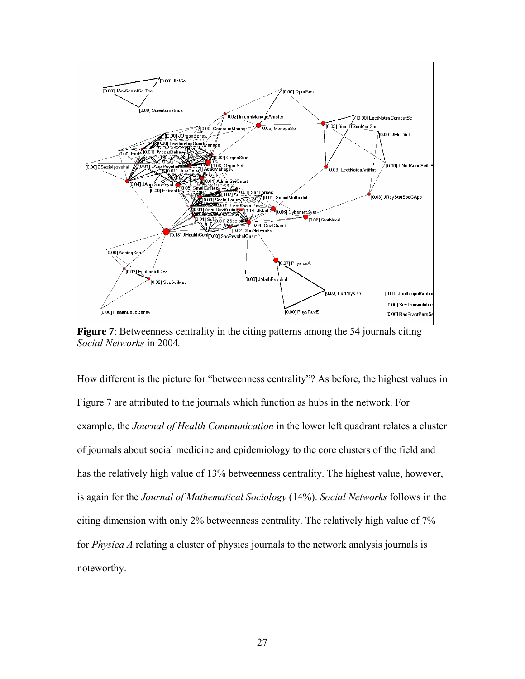

**Figure 7**: Betweenness centrality in the citing patterns among the 54 journals citing *Social Networks* in 2004*.*

How different is the picture for "betweenness centrality"? As before, the highest values in Figure 7 are attributed to the journals which function as hubs in the network. For example, the *Journal of Health Communication* in the lower left quadrant relates a cluster of journals about social medicine and epidemiology to the core clusters of the field and has the relatively high value of 13% betweenness centrality. The highest value, however, is again for the *Journal of Mathematical Sociology* (14%). *Social Networks* follows in the citing dimension with only 2% betweenness centrality. The relatively high value of 7% for *Physica A* relating a cluster of physics journals to the network analysis journals is noteworthy.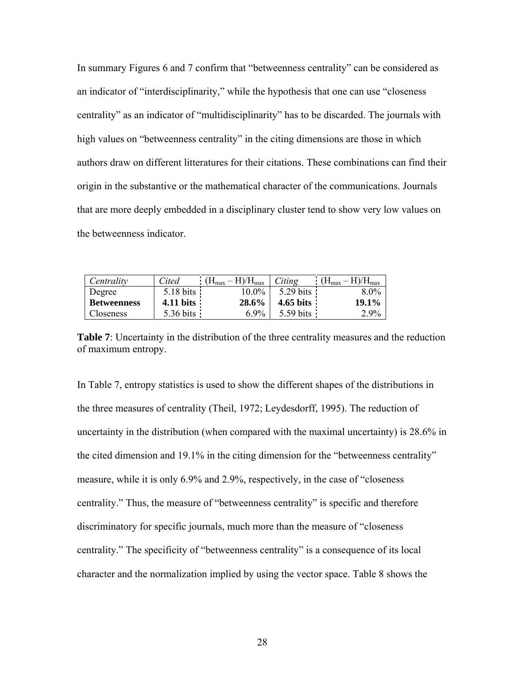In summary Figures 6 and 7 confirm that "betweenness centrality" can be considered as an indicator of "interdisciplinarity," while the hypothesis that one can use "closeness centrality" as an indicator of "multidisciplinarity" has to be discarded. The journals with high values on "betweenness centrality" in the citing dimensions are those in which authors draw on different litteratures for their citations. These combinations can find their origin in the substantive or the mathematical character of the communications. Journals that are more deeply embedded in a disciplinary cluster tend to show very low values on the betweenness indicator.

| Centrality         | Cited               | $H/H_{max}$<br>$H_{\text{max}}$ | Citing              | $H_{\text{max}}$ |
|--------------------|---------------------|---------------------------------|---------------------|------------------|
| Degree             | 5.18 bits           | $10.0\%$                        | $5.29 \text{ bits}$ | $8.0\%$          |
| <b>Betweenness</b> | $4.11 \text{ bits}$ | 28.6%                           | 4.65 bits           | $19.1\%$         |
| Closeness          | $5.36 \text{ bits}$ | $6.9\%$                         | $5.59 \text{ bits}$ | 2.9%             |

**Table 7**: Uncertainty in the distribution of the three centrality measures and the reduction of maximum entropy.

In Table 7, entropy statistics is used to show the different shapes of the distributions in the three measures of centrality (Theil, 1972; Leydesdorff, 1995). The reduction of uncertainty in the distribution (when compared with the maximal uncertainty) is 28.6% in the cited dimension and 19.1% in the citing dimension for the "betweenness centrality" measure, while it is only 6.9% and 2.9%, respectively, in the case of "closeness centrality." Thus, the measure of "betweenness centrality" is specific and therefore discriminatory for specific journals, much more than the measure of "closeness centrality." The specificity of "betweenness centrality" is a consequence of its local character and the normalization implied by using the vector space. Table 8 shows the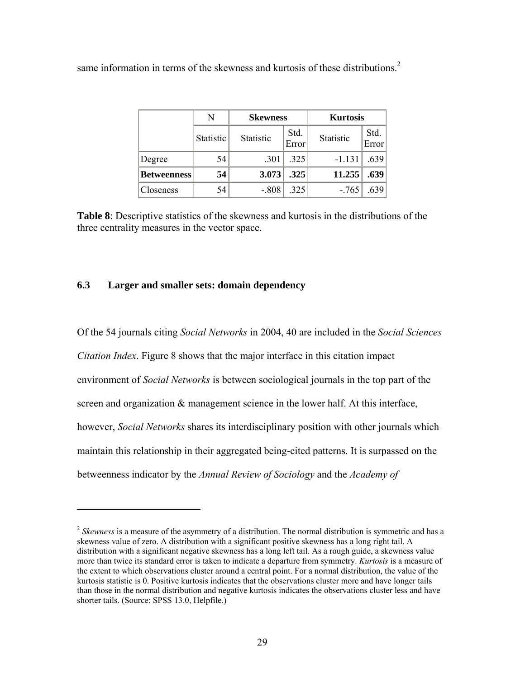same information in terms of the skewness and kurtosis of these distributions.<sup>2</sup>

|                    | N                | <b>Skewness</b> |               |           |               | <b>Kurtosis</b> |  |
|--------------------|------------------|-----------------|---------------|-----------|---------------|-----------------|--|
|                    | <b>Statistic</b> | Statistic       | Std.<br>Error | Statistic | Std.<br>Error |                 |  |
| Degree             | 54               | .301            | .325          | $-1.131$  | .639          |                 |  |
| <b>Betweenness</b> | 54               | 3.073           | .325          | 11.255    | .639          |                 |  |
| Closeness          | 54               | $-.808$         | .325          | $-.765$   | .639          |                 |  |

**Table 8**: Descriptive statistics of the skewness and kurtosis in the distributions of the three centrality measures in the vector space.

## **6.3 Larger and smaller sets: domain dependency**

 $\overline{a}$ 

Of the 54 journals citing *Social Networks* in 2004, 40 are included in the *Social Sciences Citation Index*. Figure 8 shows that the major interface in this citation impact environment of *Social Networks* is between sociological journals in the top part of the screen and organization  $\&$  management science in the lower half. At this interface, however, *Social Networks* shares its interdisciplinary position with other journals which maintain this relationship in their aggregated being-cited patterns. It is surpassed on the betweenness indicator by the *Annual Review of Sociology* and the *Academy of* 

<span id="page-28-0"></span><sup>&</sup>lt;sup>2</sup> *Skewness* is a measure of the asymmetry of a distribution. The normal distribution is symmetric and has a skewness value of zero. A distribution with a significant positive skewness has a long right tail. A distribution with a significant negative skewness has a long left tail. As a rough guide, a skewness value more than twice its standard error is taken to indicate a departure from symmetry. *Kurtosis* is a measure of the extent to which observations cluster around a central point. For a normal distribution, the value of the kurtosis statistic is 0. Positive kurtosis indicates that the observations cluster more and have longer tails than those in the normal distribution and negative kurtosis indicates the observations cluster less and have shorter tails. (Source: SPSS 13.0, Helpfile.)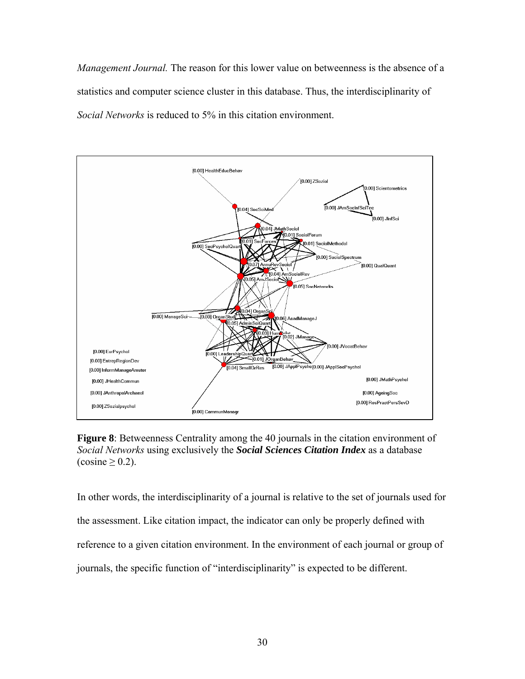*Management Journal.* The reason for this lower value on betweenness is the absence of a statistics and computer science cluster in this database. Thus, the interdisciplinarity of *Social Networks* is reduced to 5% in this citation environment.



**Figure 8**: Betweenness Centrality among the 40 journals in the citation environment of *Social Networks* using exclusively the *Social Sciences Citation Index* as a database  $(cosine \ge 0.2)$ .

In other words, the interdisciplinarity of a journal is relative to the set of journals used for the assessment. Like citation impact, the indicator can only be properly defined with reference to a given citation environment. In the environment of each journal or group of journals, the specific function of "interdisciplinarity" is expected to be different.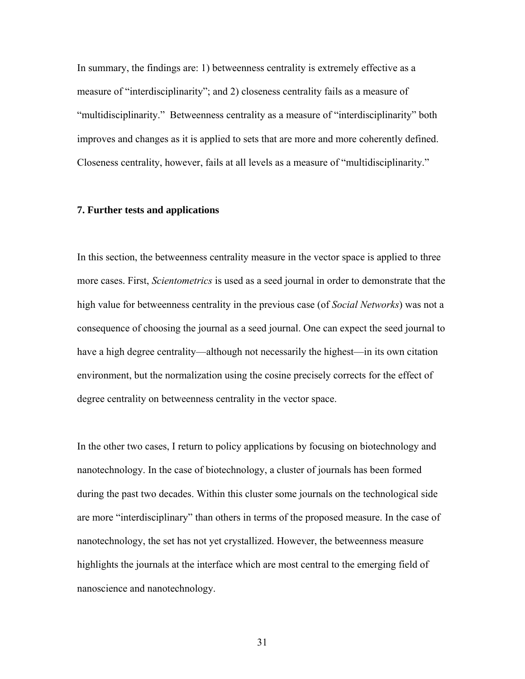In summary, the findings are: 1) betweenness centrality is extremely effective as a measure of "interdisciplinarity"; and 2) closeness centrality fails as a measure of "multidisciplinarity." Betweenness centrality as a measure of "interdisciplinarity" both improves and changes as it is applied to sets that are more and more coherently defined. Closeness centrality, however, fails at all levels as a measure of "multidisciplinarity."

## **7. Further tests and applications**

In this section, the betweenness centrality measure in the vector space is applied to three more cases. First, *Scientometrics* is used as a seed journal in order to demonstrate that the high value for betweenness centrality in the previous case (of *Social Networks*) was not a consequence of choosing the journal as a seed journal. One can expect the seed journal to have a high degree centrality—although not necessarily the highest—in its own citation environment, but the normalization using the cosine precisely corrects for the effect of degree centrality on betweenness centrality in the vector space.

In the other two cases, I return to policy applications by focusing on biotechnology and nanotechnology. In the case of biotechnology, a cluster of journals has been formed during the past two decades. Within this cluster some journals on the technological side are more "interdisciplinary" than others in terms of the proposed measure. In the case of nanotechnology, the set has not yet crystallized. However, the betweenness measure highlights the journals at the interface which are most central to the emerging field of nanoscience and nanotechnology.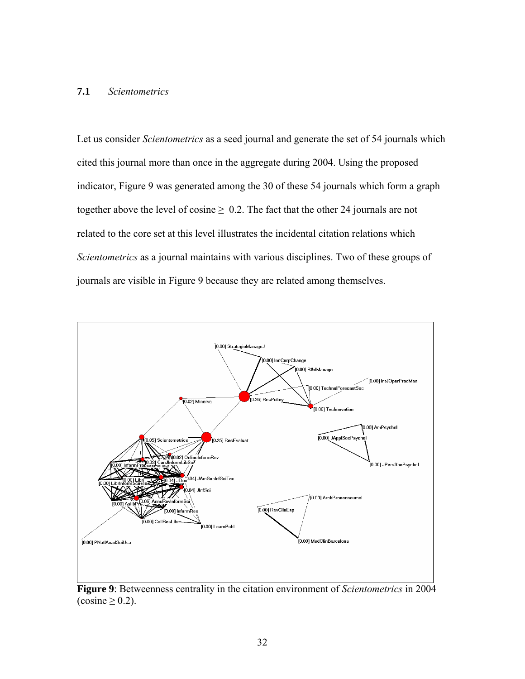## **7.1** *Scientometrics*

Let us consider *Scientometrics* as a seed journal and generate the set of 54 journals which cited this journal more than once in the aggregate during 2004. Using the proposed indicator, Figure 9 was generated among the 30 of these 54 journals which form a graph together above the level of cosine  $\geq 0.2$ . The fact that the other 24 journals are not related to the core set at this level illustrates the incidental citation relations which *Scientometrics* as a journal maintains with various disciplines. Two of these groups of journals are visible in Figure 9 because they are related among themselves.



**Figure 9**: Betweenness centrality in the citation environment of *Scientometrics* in 2004  $(cosine \ge 0.2)$ .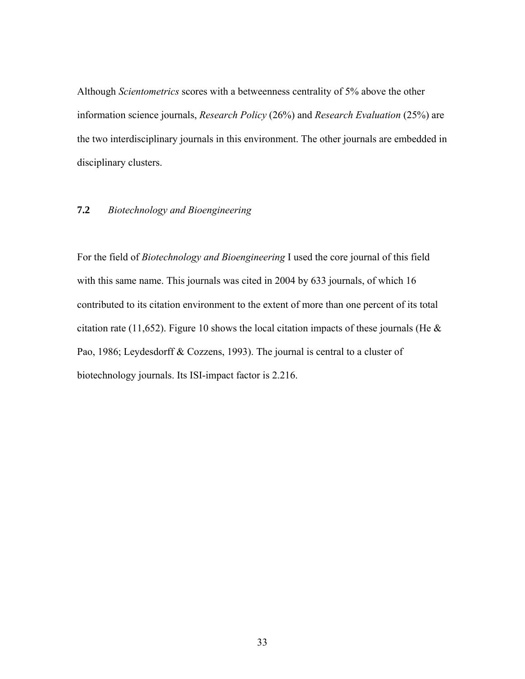Although *Scientometrics* scores with a betweenness centrality of 5% above the other information science journals, *Research Policy* (26%) and *Research Evaluation* (25%) are the two interdisciplinary journals in this environment. The other journals are embedded in disciplinary clusters.

## **7.2** *Biotechnology and Bioengineering*

For the field of *Biotechnology and Bioengineering* I used the core journal of this field with this same name. This journals was cited in 2004 by 633 journals, of which 16 contributed to its citation environment to the extent of more than one percent of its total citation rate (11,652). Figure 10 shows the local citation impacts of these journals (He  $\&$ Pao, 1986; Leydesdorff & Cozzens, 1993). The journal is central to a cluster of biotechnology journals. Its ISI-impact factor is 2.216.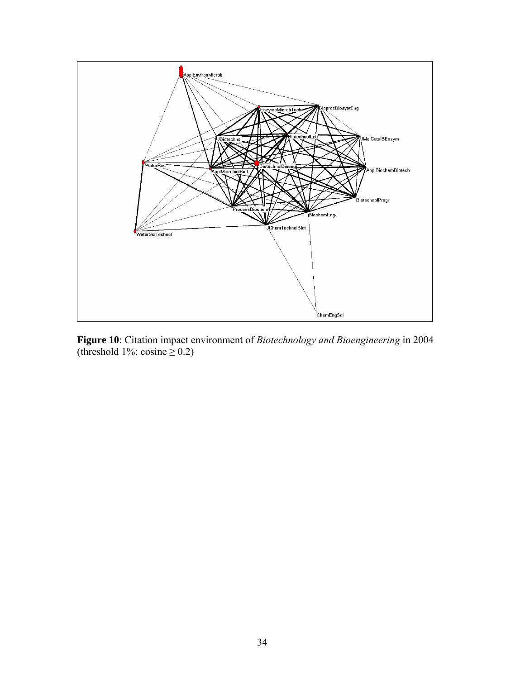

**Figure 10**: Citation impact environment of *Biotechnology and Bioengineering* in 2004 (threshold 1%; cosine  $\geq$  0.2)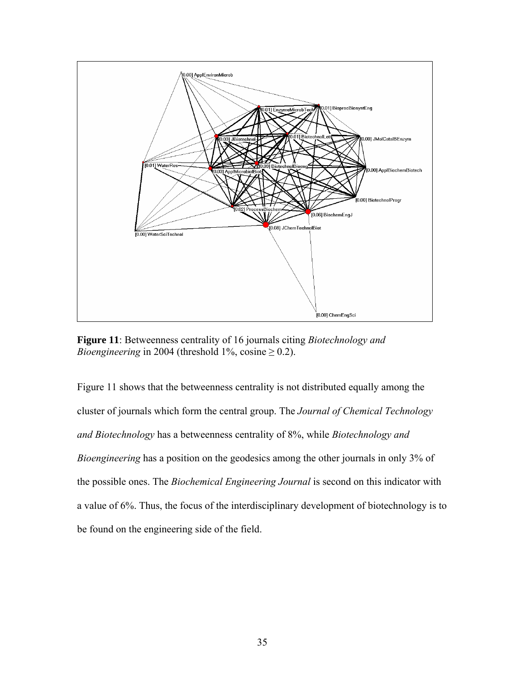

**Figure 11**: Betweenness centrality of 16 journals citing *Biotechnology and Bioengineering* in 2004 (threshold 1%, cosine  $\geq$  0.2).

Figure 11 shows that the betweenness centrality is not distributed equally among the cluster of journals which form the central group. The *Journal of Chemical Technology and Biotechnology* has a betweenness centrality of 8%, while *Biotechnology and Bioengineering* has a position on the geodesics among the other journals in only 3% of the possible ones. The *Biochemical Engineering Journal* is second on this indicator with a value of 6%. Thus, the focus of the interdisciplinary development of biotechnology is to be found on the engineering side of the field.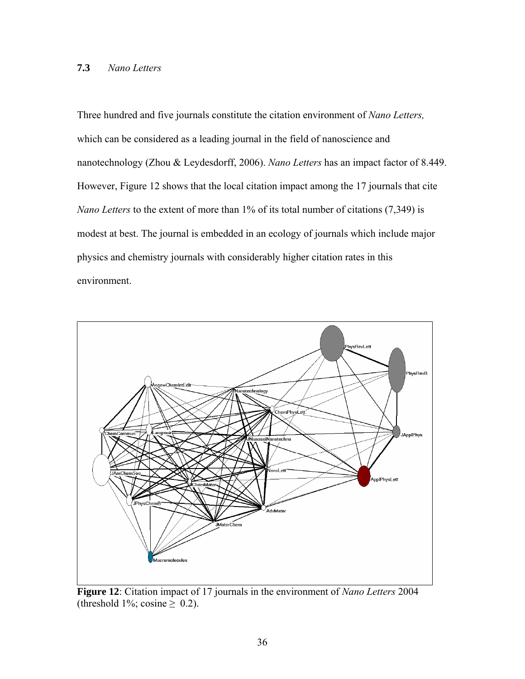## **7.3** *Nano Letters*

Three hundred and five journals constitute the citation environment of *Nano Letters,* which can be considered as a leading journal in the field of nanoscience and nanotechnology (Zhou & Leydesdorff, 2006). *Nano Letters* has an impact factor of 8.449. However, Figure 12 shows that the local citation impact among the 17 journals that cite *Nano Letters* to the extent of more than 1% of its total number of citations (7,349) is modest at best. The journal is embedded in an ecology of journals which include major physics and chemistry journals with considerably higher citation rates in this environment.



**Figure 12**: Citation impact of 17 journals in the environment of *Nano Letters* 2004 (threshold 1%; cosine  $\geq$  0.2).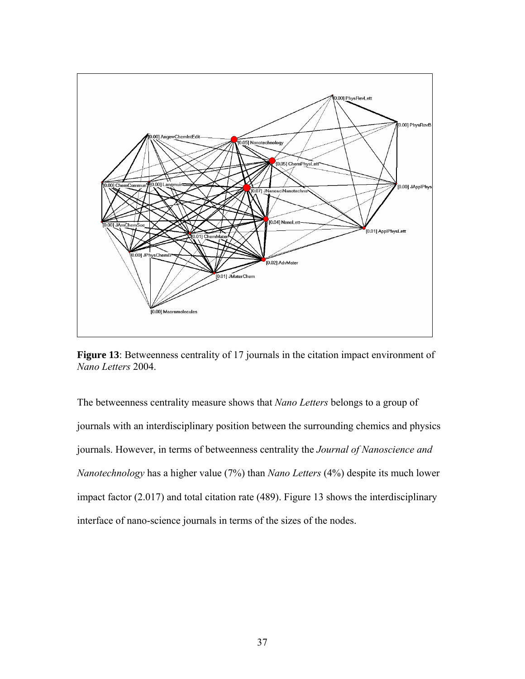

**Figure 13**: Betweenness centrality of 17 journals in the citation impact environment of *Nano Letters* 2004.

The betweenness centrality measure shows that *Nano Letters* belongs to a group of journals with an interdisciplinary position between the surrounding chemics and physics journals. However, in terms of betweenness centrality the *Journal of Nanoscience and Nanotechnology* has a higher value (7%) than *Nano Letters* (4%) despite its much lower impact factor (2.017) and total citation rate (489). Figure 13 shows the interdisciplinary interface of nano-science journals in terms of the sizes of the nodes.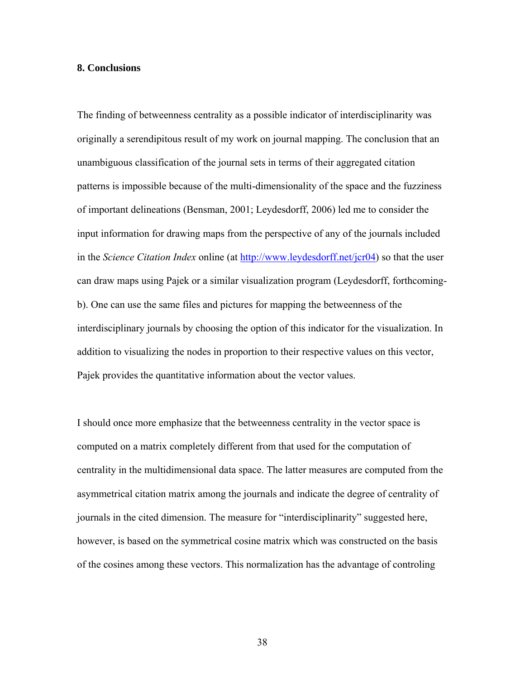#### **8. Conclusions**

The finding of betweenness centrality as a possible indicator of interdisciplinarity was originally a serendipitous result of my work on journal mapping. The conclusion that an unambiguous classification of the journal sets in terms of their aggregated citation patterns is impossible because of the multi-dimensionality of the space and the fuzziness of important delineations (Bensman, 2001; Leydesdorff, 2006) led me to consider the input information for drawing maps from the perspective of any of the journals included in the *Science Citation Index* online (at<http://www.leydesdorff.net/jcr04>) so that the user can draw maps using Pajek or a similar visualization program (Leydesdorff, forthcomingb). One can use the same files and pictures for mapping the betweenness of the interdisciplinary journals by choosing the option of this indicator for the visualization. In addition to visualizing the nodes in proportion to their respective values on this vector, Pajek provides the quantitative information about the vector values.

I should once more emphasize that the betweenness centrality in the vector space is computed on a matrix completely different from that used for the computation of centrality in the multidimensional data space. The latter measures are computed from the asymmetrical citation matrix among the journals and indicate the degree of centrality of journals in the cited dimension. The measure for "interdisciplinarity" suggested here, however, is based on the symmetrical cosine matrix which was constructed on the basis of the cosines among these vectors. This normalization has the advantage of controling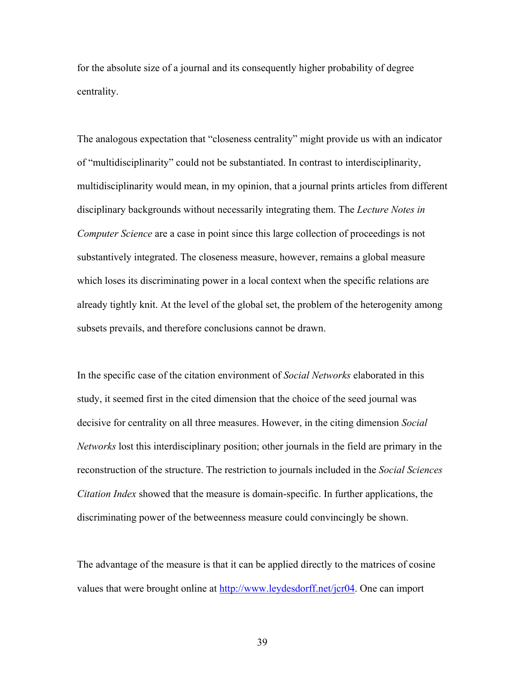for the absolute size of a journal and its consequently higher probability of degree centrality.

The analogous expectation that "closeness centrality" might provide us with an indicator of "multidisciplinarity" could not be substantiated. In contrast to interdisciplinarity, multidisciplinarity would mean, in my opinion, that a journal prints articles from different disciplinary backgrounds without necessarily integrating them. The *Lecture Notes in Computer Science* are a case in point since this large collection of proceedings is not substantively integrated. The closeness measure, however, remains a global measure which loses its discriminating power in a local context when the specific relations are already tightly knit. At the level of the global set, the problem of the heterogenity among subsets prevails, and therefore conclusions cannot be drawn.

In the specific case of the citation environment of *Social Networks* elaborated in this study, it seemed first in the cited dimension that the choice of the seed journal was decisive for centrality on all three measures. However, in the citing dimension *Social Networks* lost this interdisciplinary position; other journals in the field are primary in the reconstruction of the structure. The restriction to journals included in the *Social Sciences Citation Index* showed that the measure is domain-specific. In further applications, the discriminating power of the betweenness measure could convincingly be shown.

The advantage of the measure is that it can be applied directly to the matrices of cosine values that were brought online at [http://www.leydesdorff.net/jcr04.](http://www.leydesdorff.net/jcr04) One can import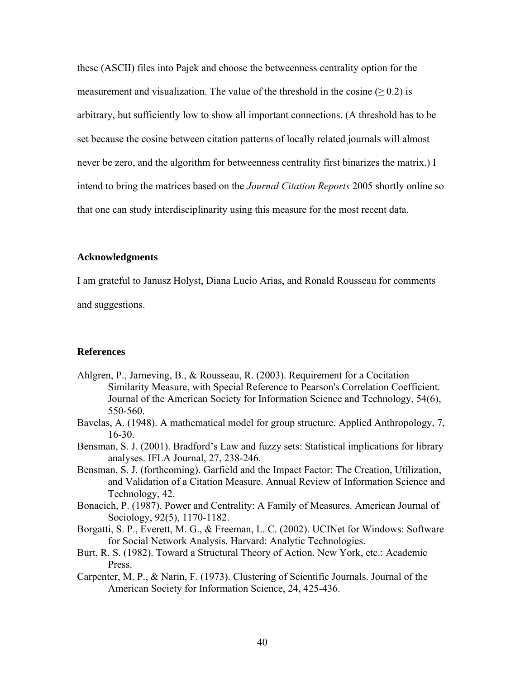these (ASCII) files into Pajek and choose the betweenness centrality option for the measurement and visualization. The value of the threshold in the cosine ( $\geq 0.2$ ) is arbitrary, but sufficiently low to show all important connections. (A threshold has to be set because the cosine between citation patterns of locally related journals will almost never be zero, and the algorithm for betweenness centrality first binarizes the matrix.) I intend to bring the matrices based on the *Journal Citation Reports* 2005 shortly online so that one can study interdisciplinarity using this measure for the most recent data.

## **Acknowledgments**

I am grateful to Janusz Holyst, Diana Lucio Arias, and Ronald Rousseau for comments and suggestions.

## **References**

- Ahlgren, P., Jarneving, B., & Rousseau, R. (2003). Requirement for a Cocitation Similarity Measure, with Special Reference to Pearson's Correlation Coefficient. Journal of the American Society for Information Science and Technology, 54(6), 550-560.
- Bavelas, A. (1948). A mathematical model for group structure. Applied Anthropology, 7, 16-30.
- Bensman, S. J. (2001). Bradford's Law and fuzzy sets: Statistical implications for library analyses. IFLA Journal, 27, 238-246.
- Bensman, S. J. (forthcoming). Garfield and the Impact Factor: The Creation, Utilization, and Validation of a Citation Measure. Annual Review of Information Science and Technology, 42.
- Bonacich, P. (1987). Power and Centrality: A Family of Measures. American Journal of Sociology, 92(5), 1170-1182.
- Borgatti, S. P., Everett, M. G., & Freeman, L. C. (2002). UCINet for Windows: Software for Social Network Analysis. Harvard: Analytic Technologies.
- Burt, R. S. (1982). Toward a Structural Theory of Action. New York, etc.: Academic Press.
- Carpenter, M. P., & Narin, F. (1973). Clustering of Scientific Journals. Journal of the American Society for Information Science, 24, 425-436.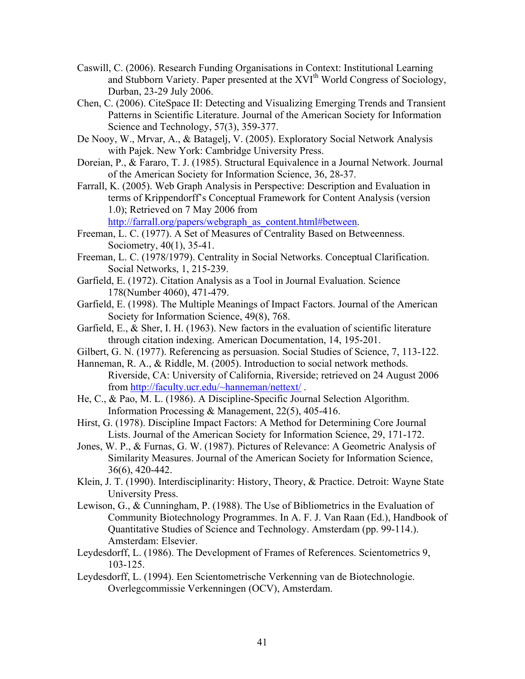- Caswill, C. (2006). Research Funding Organisations in Context: Institutional Learning and Stubborn Variety. Paper presented at the XVI<sup>th</sup> World Congress of Sociology, Durban, 23-29 July 2006.
- Chen, C. (2006). CiteSpace II: Detecting and Visualizing Emerging Trends and Transient Patterns in Scientific Literature. Journal of the American Society for Information Science and Technology, 57(3), 359-377.
- De Nooy, W., Mrvar, A., & Batagelj, V. (2005). Exploratory Social Network Analysis with Pajek. New York: Cambridge University Press.
- Doreian, P., & Fararo, T. J. (1985). Structural Equivalence in a Journal Network. Journal of the American Society for Information Science, 36, 28-37.
- Farrall, K. (2005). Web Graph Analysis in Perspective: Description and Evaluation in terms of Krippendorff's Conceptual Framework for Content Analysis (version 1.0); Retrieved on 7 May 2006 from

http://farrall.org/papers/webgraph\_as\_content.html#between.

- Freeman, L. C. (1977). A Set of Measures of Centrality Based on Betweenness. Sociometry, 40(1), 35-41.
- Freeman, L. C. (1978/1979). Centrality in Social Networks. Conceptual Clarification. Social Networks, 1, 215-239.
- Garfield, E. (1972). Citation Analysis as a Tool in Journal Evaluation. Science 178(Number 4060), 471-479.
- Garfield, E. (1998). The Multiple Meanings of Impact Factors. Journal of the American Society for Information Science, 49(8), 768.
- Garfield, E., & Sher, I. H. (1963). New factors in the evaluation of scientific literature through citation indexing. American Documentation, 14, 195-201.
- Gilbert, G. N. (1977). Referencing as persuasion. Social Studies of Science, 7, 113-122.
- Hanneman, R. A., & Riddle, M. (2005). Introduction to social network methods. Riverside, CA: University of California, Riverside; retrieved on 24 August 2006 from <http://faculty.ucr.edu/~hanneman/nettext/> .
- He, C., & Pao, M. L. (1986). A Discipline-Specific Journal Selection Algorithm. Information Processing & Management, 22(5), 405-416.
- Hirst, G. (1978). Discipline Impact Factors: A Method for Determining Core Journal Lists. Journal of the American Society for Information Science, 29, 171-172.
- Jones, W. P., & Furnas, G. W. (1987). Pictures of Relevance: A Geometric Analysis of Similarity Measures. Journal of the American Society for Information Science, 36(6), 420-442.
- Klein, J. T. (1990). Interdisciplinarity: History, Theory, & Practice. Detroit: Wayne State University Press.
- Lewison, G., & Cunningham, P. (1988). The Use of Bibliometrics in the Evaluation of Community Biotechnology Programmes. In A. F. J. Van Raan (Ed.), Handbook of Quantitative Studies of Science and Technology. Amsterdam (pp. 99-114.). Amsterdam: Elsevier.
- Leydesdorff, L. (1986). The Development of Frames of References. Scientometrics 9, 103-125.
- Leydesdorff, L. (1994). Een Scientometrische Verkenning van de Biotechnologie. Overlegcommissie Verkenningen (OCV), Amsterdam.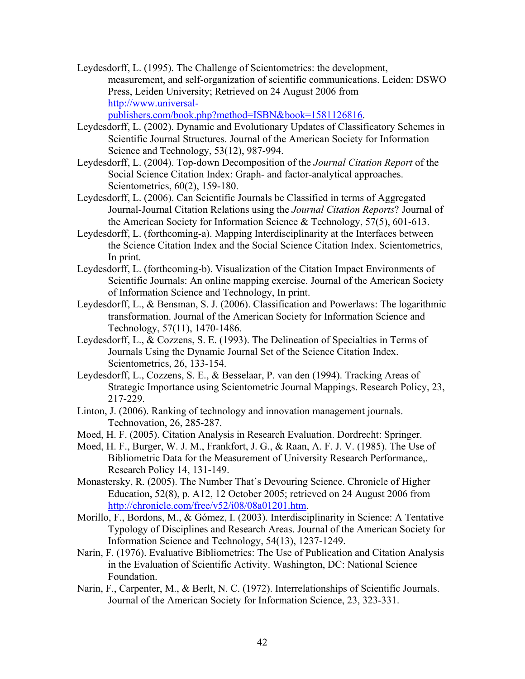Leydesdorff, L. (1995). The Challenge of Scientometrics: the development, measurement, and self-organization of scientific communications. Leiden: DSWO Press, Leiden University; Retrieved on 24 August 2006 from [http://www.universal-](http://www.universal-publishers.com/book.php?method=ISBN&book=1581126816)

[publishers.com/book.php?method=ISBN&book=1581126816.](http://www.universal-publishers.com/book.php?method=ISBN&book=1581126816)

- Leydesdorff, L. (2002). Dynamic and Evolutionary Updates of Classificatory Schemes in Scientific Journal Structures. Journal of the American Society for Information Science and Technology, 53(12), 987-994.
- Leydesdorff, L. (2004). Top-down Decomposition of the *Journal Citation Report* of the Social Science Citation Index: Graph- and factor-analytical approaches. Scientometrics, 60(2), 159-180.
- Leydesdorff, L. (2006). Can Scientific Journals be Classified in terms of Aggregated Journal-Journal Citation Relations using the *Journal Citation Reports*? Journal of the American Society for Information Science & Technology, 57(5), 601-613.
- Leydesdorff, L. (forthcoming-a). Mapping Interdisciplinarity at the Interfaces between the Science Citation Index and the Social Science Citation Index. Scientometrics, In print.
- Leydesdorff, L. (forthcoming-b). Visualization of the Citation Impact Environments of Scientific Journals: An online mapping exercise. Journal of the American Society of Information Science and Technology, In print.
- Leydesdorff, L., & Bensman, S. J. (2006). Classification and Powerlaws: The logarithmic transformation. Journal of the American Society for Information Science and Technology, 57(11), 1470-1486.
- Leydesdorff, L., & Cozzens, S. E. (1993). The Delineation of Specialties in Terms of Journals Using the Dynamic Journal Set of the Science Citation Index. Scientometrics, 26, 133-154.
- Leydesdorff, L., Cozzens, S. E., & Besselaar, P. van den (1994). Tracking Areas of Strategic Importance using Scientometric Journal Mappings. Research Policy, 23, 217-229.
- Linton, J. (2006). Ranking of technology and innovation management journals. Technovation, 26, 285-287.
- Moed, H. F. (2005). Citation Analysis in Research Evaluation. Dordrecht: Springer.
- Moed, H. F., Burger, W. J. M., Frankfort, J. G., & Raan, A. F. J. V. (1985). The Use of Bibliometric Data for the Measurement of University Research Performance,. Research Policy 14, 131-149.
- Monastersky, R. (2005). The Number That's Devouring Science. Chronicle of Higher Education, 52(8), p. A12, 12 October 2005; retrieved on 24 August 2006 from <http://chronicle.com/free/v52/i08/08a01201.htm>.
- Morillo, F., Bordons, M., & Gómez, I. (2003). Interdisciplinarity in Science: A Tentative Typology of Disciplines and Research Areas. Journal of the American Society for Information Science and Technology, 54(13), 1237-1249.
- Narin, F. (1976). Evaluative Bibliometrics: The Use of Publication and Citation Analysis in the Evaluation of Scientific Activity. Washington, DC: National Science Foundation.
- Narin, F., Carpenter, M., & Berlt, N. C. (1972). Interrelationships of Scientific Journals. Journal of the American Society for Information Science, 23, 323-331.